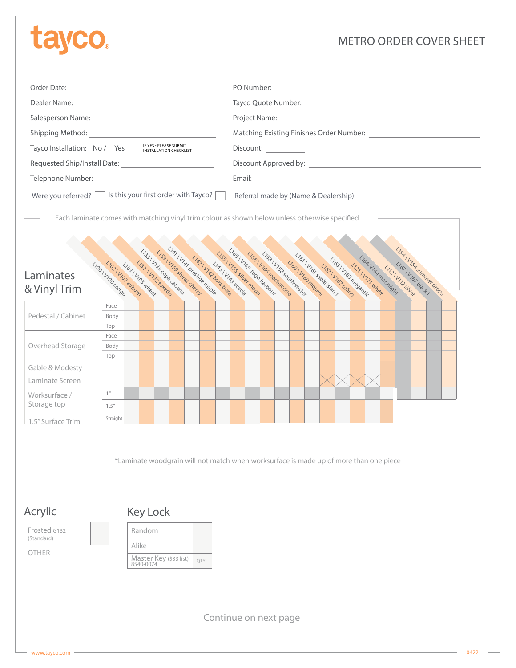# tayco

## METRO ORDER COVER SHEET

|                                                                                                                                                                                                                                                                                                                                                                    | PO Number:<br><u> 1980 - Jan Samuel Barbara, martin a</u>                                                                                                                                                                                                                                                                                                                    |  |  |
|--------------------------------------------------------------------------------------------------------------------------------------------------------------------------------------------------------------------------------------------------------------------------------------------------------------------------------------------------------------------|------------------------------------------------------------------------------------------------------------------------------------------------------------------------------------------------------------------------------------------------------------------------------------------------------------------------------------------------------------------------------|--|--|
|                                                                                                                                                                                                                                                                                                                                                                    |                                                                                                                                                                                                                                                                                                                                                                              |  |  |
|                                                                                                                                                                                                                                                                                                                                                                    |                                                                                                                                                                                                                                                                                                                                                                              |  |  |
| Shipping Method:<br><u> 1989 - Johann Barn, mars ann an t-Amhain</u>                                                                                                                                                                                                                                                                                               | Matching Existing Finishes Order Number:                                                                                                                                                                                                                                                                                                                                     |  |  |
| IF YES - PLEASE SUBMIT<br>Tayco Installation: No / Yes<br><b>INSTALLATION CHECKLIST</b>                                                                                                                                                                                                                                                                            | Discount: <u>_________</u>                                                                                                                                                                                                                                                                                                                                                   |  |  |
|                                                                                                                                                                                                                                                                                                                                                                    | Discount Approved by: North Contract and Contract of the Contract of the Contract of the Contract of the Contract of the Contract of the Contract of the Contract of the Contract of the Contract of the Contract of the Contr                                                                                                                                               |  |  |
|                                                                                                                                                                                                                                                                                                                                                                    |                                                                                                                                                                                                                                                                                                                                                                              |  |  |
| Were you referred? $\Box$ Is this your first order with Tayco? $\Box$<br>Each laminate comes with matching vinyl trim colour as shown below unless otherwise specified<br>LIAT I VAT DEGREGE MADE<br>[133] Viss Coba cabana<br>[159] Vise shing deep<br>1132 \ V132 W4806<br>LID3   ViO23Ubum<br>LIOO   VIOCONGO<br>LIO3 \ VIO3 Wheat<br>Laminates<br>& Vinyl Trim | Referral made by (Name & Dealership):<br>ISS1 VIST SUMMET drops<br>LIGS   VIGS FORD Harbour<br>LISSI VISS SHeet Moon<br>L1581 V158 SOLIMWester<br>LIGG   VIGG modiacino<br>LIGI VIGI Sable Island<br>[172] LIR3 LIR3 LIR3 Racia<br>LIGANGA mominght<br>LIG3 \VIG3 megantic<br>1160 \ V160 moisus<br>LIGI VIGSORACH /<br>1731 V 121 White<br>LIG3 \VIGS tompo<br>LIZIVILSING. |  |  |
| Face                                                                                                                                                                                                                                                                                                                                                               |                                                                                                                                                                                                                                                                                                                                                                              |  |  |
| Pedestal / Cabinet<br>Body                                                                                                                                                                                                                                                                                                                                         |                                                                                                                                                                                                                                                                                                                                                                              |  |  |
| Top                                                                                                                                                                                                                                                                                                                                                                |                                                                                                                                                                                                                                                                                                                                                                              |  |  |
| Face                                                                                                                                                                                                                                                                                                                                                               |                                                                                                                                                                                                                                                                                                                                                                              |  |  |
| Overhead Storage<br>Body                                                                                                                                                                                                                                                                                                                                           |                                                                                                                                                                                                                                                                                                                                                                              |  |  |
| Top                                                                                                                                                                                                                                                                                                                                                                |                                                                                                                                                                                                                                                                                                                                                                              |  |  |

Gable & Modesty Laminate Screen Worksurface / Storage top 1" 1.5" 1.5" Surface Trim Straight

\*Laminate woodgrain will not match when worksurface is made up of more than one piece

Acrylic

# Key Lock

| Frosted G132<br>(Standard) | Random                              |     |
|----------------------------|-------------------------------------|-----|
| OTHER                      | Alike                               |     |
|                            | Master Key (\$33 list)<br>8540-0074 | OTY |

Continue on next page